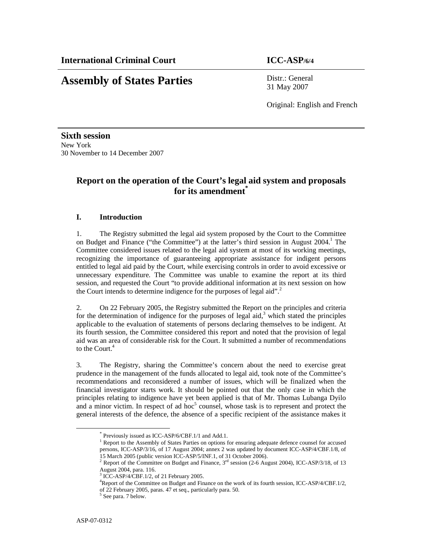# **Assembly of States Parties** Distr.: General

31 May 2007

Original: English and French

**Sixth session**  New York 30 November to 14 December 2007

## **Report on the operation of the Court's legal aid system and proposals for its amendment\***

### **I. Introduction**

1. The Registry submitted the legal aid system proposed by the Court to the Committee on Budget and Finance ("the Committee") at the latter's third session in August 2004.<sup>1</sup> The Committee considered issues related to the legal aid system at most of its working meetings, recognizing the importance of guaranteeing appropriate assistance for indigent persons entitled to legal aid paid by the Court, while exercising controls in order to avoid excessive or unnecessary expenditure. The Committee was unable to examine the report at its third session, and requested the Court "to provide additional information at its next session on how the Court intends to determine indigence for the purposes of legal aid".<sup>2</sup>

2. On 22 February 2005, the Registry submitted the Report on the principles and criteria for the determination of indigence for the purposes of legal aid, $3$  which stated the principles applicable to the evaluation of statements of persons declaring themselves to be indigent. At its fourth session, the Committee considered this report and noted that the provision of legal aid was an area of considerable risk for the Court. It submitted a number of recommendations to the Court. $<sup>4</sup>$ </sup>

3. The Registry, sharing the Committee's concern about the need to exercise great prudence in the management of the funds allocated to legal aid, took note of the Committee's recommendations and reconsidered a number of issues, which will be finalized when the financial investigator starts work. It should be pointed out that the only case in which the principles relating to indigence have yet been applied is that of Mr. Thomas Lubanga Dyilo and a minor victim. In respect of ad hoc $5$  counsel, whose task is to represent and protect the general interests of the defence, the absence of a specific recipient of the assistance makes it

<sup>\*</sup> Previously issued as ICC-ASP/6/CBF.1/1 and Add.1.

<sup>&</sup>lt;sup>1</sup> Report to the Assembly of States Parties on options for ensuring adequate defence counsel for accused persons, ICC-ASP/3/16, of 17 August 2004; annex 2 was updated by document ICC-ASP/4/CBF.1/8, of 15 March 2005 (public version ICC-ASP/5/INF.1, of 31 October 2006).

<sup>2</sup> Report of the Committee on Budget and Finance,  $3<sup>rd</sup>$  session (2-6 August 2004), ICC-ASP/3/18, of 13 August 2004, para. 116.

<sup>3</sup> ICC-ASP/4/CBF.1/2, of 21 February 2005.

<sup>4</sup>Report of the Committee on Budget and Finance on the work of its fourth session, ICC-ASP/4/CBF.1/2, of 22 February 2005, paras. 47 et seq., particularly para. 50.

<sup>5</sup> See para. 7 below.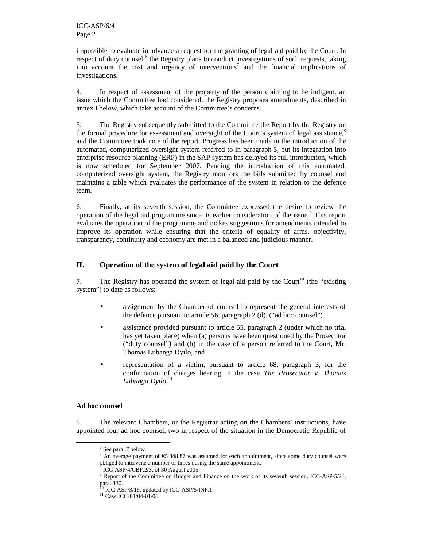impossible to evaluate in advance a request for the granting of legal aid paid by the Court. In respect of duty counsel,<sup>6</sup> the Registry plans to conduct investigations of such requests, taking into account the cost and urgency of interventions<sup>7</sup> and the financial implications of investigations.

4. In respect of assessment of the property of the person claiming to be indigent, an issue which the Committee had considered, the Registry proposes amendments, described in annex I below, which take account of the Committee's concerns.

5. The Registry subsequently submitted to the Committee the Report by the Registry on the formal procedure for assessment and oversight of the Court's system of legal assistance,<sup>8</sup> and the Committee took note of the report. Progress has been made in the introduction of the automated, computerized oversight system referred to in paragraph 5, but its integration into enterprise resource planning (ERP) in the SAP system has delayed its full introduction, which is now scheduled for September 2007. Pending the introduction of this automated, computerized oversight system, the Registry monitors the bills submitted by counsel and maintains a table which evaluates the performance of the system in relation to the defence team.

6. Finally, at its seventh session, the Committee expressed the desire to review the operation of the legal aid programme since its earlier consideration of the issue.<sup>9</sup> This report evaluates the operation of the programme and makes suggestions for amendments intended to improve its operation while ensuring that the criteria of equality of arms, objectivity, transparency, continuity and economy are met in a balanced and judicious manner.

### **II. Operation of the system of legal aid paid by the Court**

7. The Registry has operated the system of legal aid paid by the Court<sup>10</sup> (the "existing" system") to date as follows:

- assignment by the Chamber of counsel to represent the general interests of the defence pursuant to article 56, paragraph 2 (d), ("ad hoc counsel")
- assistance provided pursuant to article 55, paragraph 2 (under which no trial has yet taken place) when (a) persons have been questioned by the Prosecutor ("duty counsel") and (b) in the case of a person referred to the Court, Mr. Thomas Lubanga Dyilo, and
- representation of a victim, pursuant to article 68, paragraph 3, for the confirmation of charges hearing in the case *The Prosecutor v. Thomas*  Lubanga Dyilo.<sup>11</sup>

### **Ad hoc counsel**

-

8. The relevant Chambers, or the Registrar acting on the Chambers' instructions, have appointed four ad hoc counsel, two in respect of the situation in the Democratic Republic of

<sup>6</sup> See para. 7 below.

An average payment of  $\epsilon$  5 848.87 was assumed for each appointment, since some duty counsel were obliged to intervene a number of times during the same appointment.

<sup>8</sup> ICC-ASP/4/CBF.2/3, of 30 August 2005.

<sup>&</sup>lt;sup>9</sup> Report of the Committee on Budget and Finance on the work of its seventh session, ICC-ASP/5/23, para. 130.

 $10$  ICC-ASP/3/16, updated by ICC-ASP/5/INF.1.

<sup>&</sup>lt;sup>11</sup> Case ICC-01/04-01/06.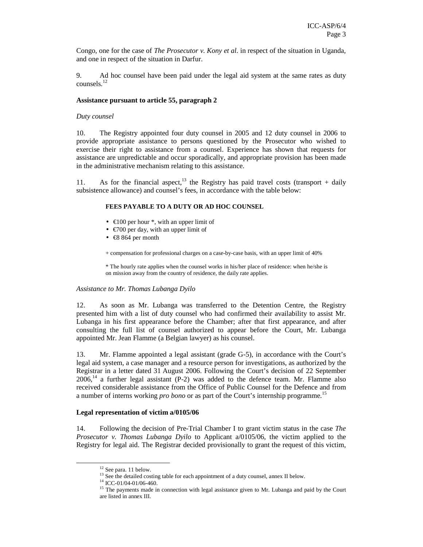Congo, one for the case of *The Prosecutor v. Kony et al.* in respect of the situation in Uganda, and one in respect of the situation in Darfur.

9. Ad hoc counsel have been paid under the legal aid system at the same rates as duty counsels.<sup>12</sup>

#### **Assistance pursuant to article 55, paragraph 2**

#### *Duty counsel*

10. The Registry appointed four duty counsel in 2005 and 12 duty counsel in 2006 to provide appropriate assistance to persons questioned by the Prosecutor who wished to exercise their right to assistance from a counsel. Experience has shown that requests for assistance are unpredictable and occur sporadically, and appropriate provision has been made in the administrative mechanism relating to this assistance.

11. As for the financial aspect,<sup>13</sup> the Registry has paid travel costs (transport + daily subsistence allowance) and counsel's fees, in accordance with the table below:

#### **FEES PAYABLE TO A DUTY OR AD HOC COUNSEL**

- $\in$ 100 per hour  $*$ , with an upper limit of
- $\epsilon$ 700 per day, with an upper limit of
- $\bullet$   $\in$  8 864 per month

+ compensation for professional charges on a case-by-case basis, with an upper limit of 40%

\* The hourly rate applies when the counsel works in his/her place of residence: when he/she is on mission away from the country of residence, the daily rate applies.

#### *Assistance to Mr. Thomas Lubanga Dyilo*

12. As soon as Mr. Lubanga was transferred to the Detention Centre, the Registry presented him with a list of duty counsel who had confirmed their availability to assist Mr. Lubanga in his first appearance before the Chamber; after that first appearance, and after consulting the full list of counsel authorized to appear before the Court, Mr. Lubanga appointed Mr. Jean Flamme (a Belgian lawyer) as his counsel.

13. Mr. Flamme appointed a legal assistant (grade G-5), in accordance with the Court's legal aid system, a case manager and a resource person for investigations, as authorized by the Registrar in a letter dated 31 August 2006. Following the Court's decision of 22 September  $2006<sup>14</sup>$  a further legal assistant (P-2) was added to the defence team. Mr. Flamme also received considerable assistance from the Office of Public Counsel for the Defence and from a number of interns working *pro bono* or as part of the Court's internship programme.<sup>15</sup>

#### **Legal representation of victim a/0105/06**

14. Following the decision of Pre-Trial Chamber I to grant victim status in the case *The Prosecutor v. Thomas Lubanga Dyilo* to Applicant a/0105/06, the victim applied to the Registry for legal aid. The Registrar decided provisionally to grant the request of this victim,

<sup>&</sup>lt;sup>12</sup> See para. 11 below.

<sup>&</sup>lt;sup>13</sup> See the detailed costing table for each appointment of a duty counsel, annex II below.

<sup>14</sup> ICC-01/04-01/06-460.

<sup>&</sup>lt;sup>15</sup> The payments made in connection with legal assistance given to Mr. Lubanga and paid by the Court are listed in annex III.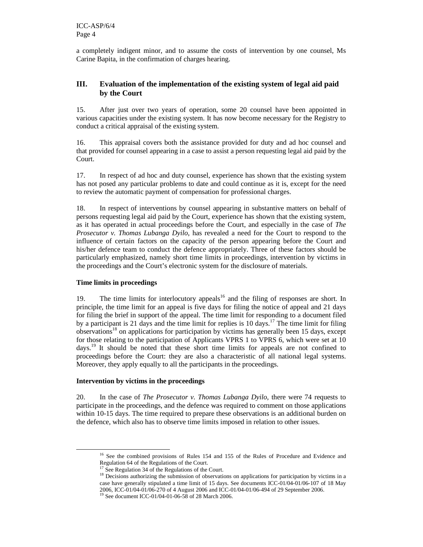a completely indigent minor, and to assume the costs of intervention by one counsel, Ms Carine Bapita, in the confirmation of charges hearing.

### **III. Evaluation of the implementation of the existing system of legal aid paid by the Court**

15. After just over two years of operation, some 20 counsel have been appointed in various capacities under the existing system. It has now become necessary for the Registry to conduct a critical appraisal of the existing system.

16. This appraisal covers both the assistance provided for duty and ad hoc counsel and that provided for counsel appearing in a case to assist a person requesting legal aid paid by the Court.

17. In respect of ad hoc and duty counsel, experience has shown that the existing system has not posed any particular problems to date and could continue as it is, except for the need to review the automatic payment of compensation for professional charges.

18. In respect of interventions by counsel appearing in substantive matters on behalf of persons requesting legal aid paid by the Court, experience has shown that the existing system, as it has operated in actual proceedings before the Court, and especially in the case of *The Prosecutor v. Thomas Lubanga Dyilo*, has revealed a need for the Court to respond to the influence of certain factors on the capacity of the person appearing before the Court and his/her defence team to conduct the defence appropriately. Three of these factors should be particularly emphasized, namely short time limits in proceedings, intervention by victims in the proceedings and the Court's electronic system for the disclosure of materials.

### **Time limits in proceedings**

-

19. The time limits for interlocutory appeals<sup>16</sup> and the filing of responses are short. In principle, the time limit for an appeal is five days for filing the notice of appeal and 21 days for filing the brief in support of the appeal. The time limit for responding to a document filed by a participant is 21 days and the time limit for replies is 10 days.<sup>17</sup> The time limit for filing observations<sup>18</sup> on applications for participation by victims has generally been 15 days, except for those relating to the participation of Applicants VPRS 1 to VPRS 6, which were set at 10 days.<sup>19</sup> It should be noted that these short time limits for appeals are not confined to proceedings before the Court: they are also a characteristic of all national legal systems. Moreover, they apply equally to all the participants in the proceedings.

### **Intervention by victims in the proceedings**

20. In the case of *The Prosecutor v. Thomas Lubanga Dyilo*, there were 74 requests to participate in the proceedings, and the defence was required to comment on those applications within 10-15 days. The time required to prepare these observations is an additional burden on the defence, which also has to observe time limits imposed in relation to other issues.

<sup>&</sup>lt;sup>16</sup> See the combined provisions of Rules 154 and 155 of the Rules of Procedure and Evidence and Regulation 64 of the Regulations of the Court.

<sup>&</sup>lt;sup>17</sup> See Regulation 34 of the Regulations of the Court.

<sup>&</sup>lt;sup>18</sup> Decisions authorizing the submission of observations on applications for participation by victims in a case have generally stipulated a time limit of 15 days. See documents ICC-01/04-01/06-107 of 18 May 2006, ICC-01/04-01/06-270 of 4 August 2006 and ICC-01/04-01/06-494 of 29 September 2006.

<sup>19</sup> See document ICC-01/04-01-06-58 of 28 March 2006.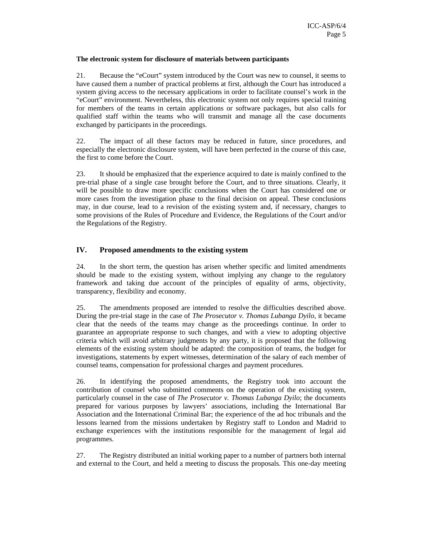### **The electronic system for disclosure of materials between participants**

21. Because the "eCourt" system introduced by the Court was new to counsel, it seems to have caused them a number of practical problems at first, although the Court has introduced a system giving access to the necessary applications in order to facilitate counsel's work in the "eCourt" environment. Nevertheless, this electronic system not only requires special training for members of the teams in certain applications or software packages, but also calls for qualified staff within the teams who will transmit and manage all the case documents exchanged by participants in the proceedings.

22. The impact of all these factors may be reduced in future, since procedures, and especially the electronic disclosure system, will have been perfected in the course of this case, the first to come before the Court.

23. It should be emphasized that the experience acquired to date is mainly confined to the pre-trial phase of a single case brought before the Court, and to three situations. Clearly, it will be possible to draw more specific conclusions when the Court has considered one or more cases from the investigation phase to the final decision on appeal. These conclusions may, in due course, lead to a revision of the existing system and, if necessary, changes to some provisions of the Rules of Procedure and Evidence, the Regulations of the Court and/or the Regulations of the Registry.

### **IV. Proposed amendments to the existing system**

24. In the short term, the question has arisen whether specific and limited amendments should be made to the existing system, without implying any change to the regulatory framework and taking due account of the principles of equality of arms, objectivity, transparency, flexibility and economy.

25. The amendments proposed are intended to resolve the difficulties described above. During the pre-trial stage in the case of *The Prosecutor v. Thomas Lubanga Dyilo,* it became clear that the needs of the teams may change as the proceedings continue. In order to guarantee an appropriate response to such changes, and with a view to adopting objective criteria which will avoid arbitrary judgments by any party, it is proposed that the following elements of the existing system should be adapted: the composition of teams, the budget for investigations, statements by expert witnesses, determination of the salary of each member of counsel teams, compensation for professional charges and payment procedures.

26. In identifying the proposed amendments, the Registry took into account the contribution of counsel who submitted comments on the operation of the existing system, particularly counsel in the case of *The Prosecutor v. Thomas Lubanga Dyilo*; the documents prepared for various purposes by lawyers' associations, including the International Bar Association and the International Criminal Bar; the experience of the ad hoc tribunals and the lessons learned from the missions undertaken by Registry staff to London and Madrid to exchange experiences with the institutions responsible for the management of legal aid programmes.

27. The Registry distributed an initial working paper to a number of partners both internal and external to the Court, and held a meeting to discuss the proposals. This one-day meeting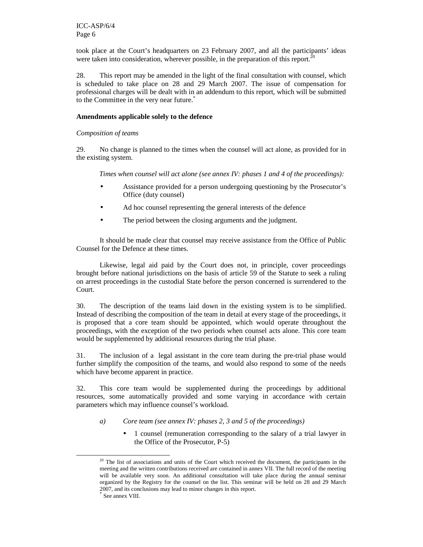took place at the Court's headquarters on 23 February 2007, and all the participants' ideas were taken into consideration, wherever possible, in the preparation of this report.<sup>2</sup>

28. This report may be amended in the light of the final consultation with counsel, which is scheduled to take place on 28 and 29 March 2007. The issue of compensation for professional charges will be dealt with in an addendum to this report, which will be submitted to the Committee in the very near future.\*

#### **Amendments applicable solely to the defence**

### *Composition of teams*

29. No change is planned to the times when the counsel will act alone, as provided for in the existing system.

*Times when counsel will act alone (see annex IV: phases 1 and 4 of the proceedings):* 

- Assistance provided for a person undergoing questioning by the Prosecutor's Office (duty counsel)
- Ad hoc counsel representing the general interests of the defence
- The period between the closing arguments and the judgment.

It should be made clear that counsel may receive assistance from the Office of Public Counsel for the Defence at these times.

Likewise, legal aid paid by the Court does not, in principle, cover proceedings brought before national jurisdictions on the basis of article 59 of the Statute to seek a ruling on arrest proceedings in the custodial State before the person concerned is surrendered to the Court.

30. The description of the teams laid down in the existing system is to be simplified. Instead of describing the composition of the team in detail at every stage of the proceedings, it is proposed that a core team should be appointed, which would operate throughout the proceedings, with the exception of the two periods when counsel acts alone. This core team would be supplemented by additional resources during the trial phase.

31. The inclusion of a legal assistant in the core team during the pre-trial phase would further simplify the composition of the teams, and would also respond to some of the needs which have become apparent in practice.

32. This core team would be supplemented during the proceedings by additional resources, some automatically provided and some varying in accordance with certain parameters which may influence counsel's workload.

- *a) Core team (see annex IV: phases 2, 3 and 5 of the proceedings)* 
	- 1 counsel (remuneration corresponding to the salary of a trial lawyer in the Office of the Prosecutor, P-5)

<sup>&</sup>lt;sup>20</sup> The list of associations and units of the Court which received the document, the participants in the meeting and the written contributions received are contained in annex VII. The full record of the meeting will be available very soon. An additional consultation will take place during the annual seminar organized by the Registry for the counsel on the list. This seminar will be held on 28 and 29 March 2007, and its conclusions may lead to minor changes in this report.

<sup>\*</sup> See annex VIII.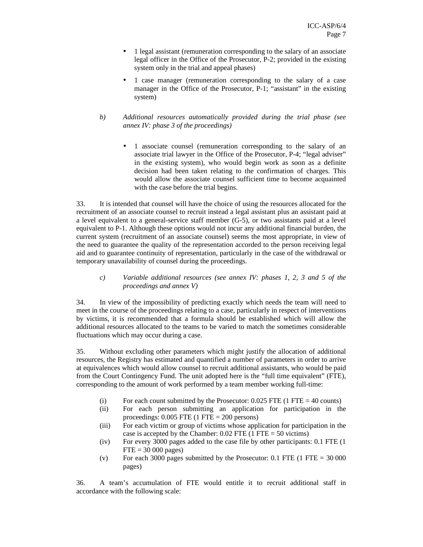- 1 legal assistant (remuneration corresponding to the salary of an associate legal officer in the Office of the Prosecutor, P-2; provided in the existing system only in the trial and appeal phases)
- 1 case manager (remuneration corresponding to the salary of a case manager in the Office of the Prosecutor, P-1; "assistant" in the existing system)
- *b) Additional resources automatically provided during the trial phase (see annex IV: phase 3 of the proceedings)* 
	- 1 associate counsel (remuneration corresponding to the salary of an associate trial lawyer in the Office of the Prosecutor, P-4; "legal adviser" in the existing system), who would begin work as soon as a definite decision had been taken relating to the confirmation of charges. This would allow the associate counsel sufficient time to become acquainted with the case before the trial begins.

33. It is intended that counsel will have the choice of using the resources allocated for the recruitment of an associate counsel to recruit instead a legal assistant plus an assistant paid at a level equivalent to a general-service staff member (G-5), or two assistants paid at a level equivalent to P-1. Although these options would not incur any additional financial burden, the current system (recruitment of an associate counsel) seems the most appropriate, in view of the need to guarantee the quality of the representation accorded to the person receiving legal aid and to guarantee continuity of representation, particularly in the case of the withdrawal or temporary unavailability of counsel during the proceedings.

*c) Variable additional resources (see annex IV: phases 1, 2, 3 and 5 of the proceedings and annex V)* 

34. In view of the impossibility of predicting exactly which needs the team will need to meet in the course of the proceedings relating to a case, particularly in respect of interventions by victims, it is recommended that a formula should be established which will allow the additional resources allocated to the teams to be varied to match the sometimes considerable fluctuations which may occur during a case.

35. Without excluding other parameters which might justify the allocation of additional resources, the Registry has estimated and quantified a number of parameters in order to arrive at equivalences which would allow counsel to recruit additional assistants, who would be paid from the Court Contingency Fund. The unit adopted here is the "full time equivalent" (FTE), corresponding to the amount of work performed by a team member working full-time:

- (i) For each count submitted by the Prosecutor:  $0.025$  FTE (1 FTE = 40 counts)
- (ii) For each person submitting an application for participation in the proceedings:  $0.005$  FTE  $(1$  FTE = 200 persons)
- (iii) For each victim or group of victims whose application for participation in the case is accepted by the Chamber:  $0.02$  FTE (1 FTE = 50 victims)
- (iv) For every 3000 pages added to the case file by other participants: 0.1 FTE (1  $FTE = 30000 \text{ pages}$
- (v) For each 3000 pages submitted by the Prosecutor:  $0.1$  FTE (1 FTE = 30 000) pages)

36. A team's accumulation of FTE would entitle it to recruit additional staff in accordance with the following scale: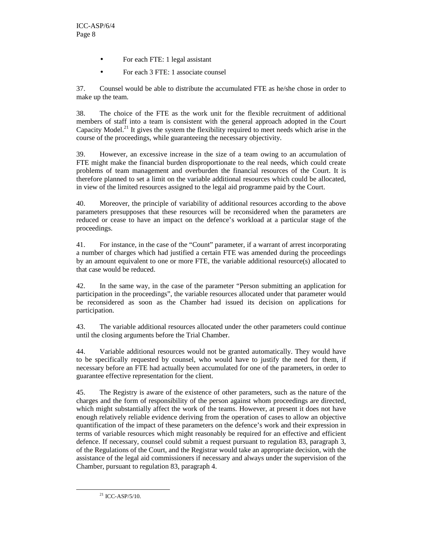- For each FTE: 1 legal assistant
- For each 3 FTE: 1 associate counsel

37. Counsel would be able to distribute the accumulated FTE as he/she chose in order to make up the team.

38. The choice of the FTE as the work unit for the flexible recruitment of additional members of staff into a team is consistent with the general approach adopted in the Court Capacity Model.<sup>21</sup> It gives the system the flexibility required to meet needs which arise in the course of the proceedings, while guaranteeing the necessary objectivity.

39. However, an excessive increase in the size of a team owing to an accumulation of FTE might make the financial burden disproportionate to the real needs, which could create problems of team management and overburden the financial resources of the Court. It is therefore planned to set a limit on the variable additional resources which could be allocated, in view of the limited resources assigned to the legal aid programme paid by the Court.

40. Moreover, the principle of variability of additional resources according to the above parameters presupposes that these resources will be reconsidered when the parameters are reduced or cease to have an impact on the defence's workload at a particular stage of the proceedings.

41. For instance, in the case of the "Count" parameter, if a warrant of arrest incorporating a number of charges which had justified a certain FTE was amended during the proceedings by an amount equivalent to one or more FTE, the variable additional resource(s) allocated to that case would be reduced.

42. In the same way, in the case of the parameter "Person submitting an application for participation in the proceedings", the variable resources allocated under that parameter would be reconsidered as soon as the Chamber had issued its decision on applications for participation.

43. The variable additional resources allocated under the other parameters could continue until the closing arguments before the Trial Chamber.

44. Variable additional resources would not be granted automatically. They would have to be specifically requested by counsel, who would have to justify the need for them, if necessary before an FTE had actually been accumulated for one of the parameters, in order to guarantee effective representation for the client.

45. The Registry is aware of the existence of other parameters, such as the nature of the charges and the form of responsibility of the person against whom proceedings are directed, which might substantially affect the work of the teams. However, at present it does not have enough relatively reliable evidence deriving from the operation of cases to allow an objective quantification of the impact of these parameters on the defence's work and their expression in terms of variable resources which might reasonably be required for an effective and efficient defence. If necessary, counsel could submit a request pursuant to regulation 83, paragraph 3, of the Regulations of the Court, and the Registrar would take an appropriate decision, with the assistance of the legal aid commissioners if necessary and always under the supervision of the Chamber, pursuant to regulation 83, paragraph 4.

<sup>21</sup> ICC-ASP/5/10.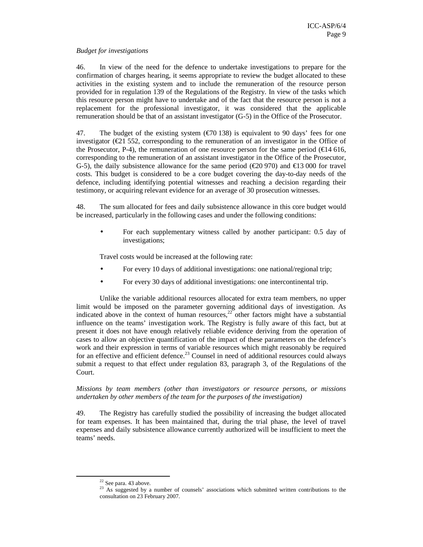#### *Budget for investigations*

46. In view of the need for the defence to undertake investigations to prepare for the confirmation of charges hearing, it seems appropriate to review the budget allocated to these activities in the existing system and to include the remuneration of the resource person provided for in regulation 139 of the Regulations of the Registry. In view of the tasks which this resource person might have to undertake and of the fact that the resource person is not a replacement for the professional investigator, it was considered that the applicable remuneration should be that of an assistant investigator (G-5) in the Office of the Prosecutor.

47. The budget of the existing system  $(\text{\textsterling}70\,138)$  is equivalent to 90 days' fees for one investigator ( $\epsilon$ 21 552, corresponding to the remuneration of an investigator in the Office of the Prosecutor, P-4), the remuneration of one resource person for the same period ( $\epsilon$ 14 616, corresponding to the remuneration of an assistant investigator in the Office of the Prosecutor, G-5), the daily subsistence allowance for the same period ( $\epsilon$ 20 970) and  $\epsilon$ 13 000 for travel costs. This budget is considered to be a core budget covering the day-to-day needs of the defence, including identifying potential witnesses and reaching a decision regarding their testimony, or acquiring relevant evidence for an average of 30 prosecution witnesses.

48. The sum allocated for fees and daily subsistence allowance in this core budget would be increased, particularly in the following cases and under the following conditions:

• For each supplementary witness called by another participant: 0.5 day of investigations;

Travel costs would be increased at the following rate:

- For every 10 days of additional investigations: one national/regional trip;
- For every 30 days of additional investigations: one intercontinental trip.

Unlike the variable additional resources allocated for extra team members, no upper limit would be imposed on the parameter governing additional days of investigation. As indicated above in the context of human resources, $22$  other factors might have a substantial influence on the teams' investigation work. The Registry is fully aware of this fact, but at present it does not have enough relatively reliable evidence deriving from the operation of cases to allow an objective quantification of the impact of these parameters on the defence's work and their expression in terms of variable resources which might reasonably be required for an effective and efficient defence.<sup>23</sup> Counsel in need of additional resources could always submit a request to that effect under regulation 83, paragraph 3, of the Regulations of the Court.

### *Missions by team members (other than investigators or resource persons, or missions undertaken by other members of the team for the purposes of the investigation)*

49. The Registry has carefully studied the possibility of increasing the budget allocated for team expenses. It has been maintained that, during the trial phase, the level of travel expenses and daily subsistence allowance currently authorized will be insufficient to meet the teams' needs.

 $22$  See para. 43 above.

<sup>&</sup>lt;sup>23</sup> As suggested by a number of counsels' associations which submitted written contributions to the consultation on 23 February 2007.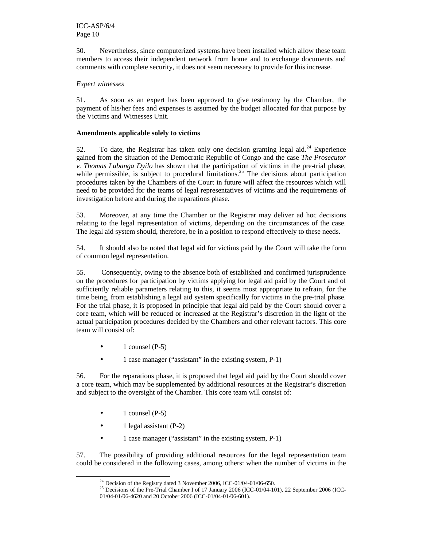50. Nevertheless, since computerized systems have been installed which allow these team members to access their independent network from home and to exchange documents and comments with complete security, it does not seem necessary to provide for this increase.

### *Expert witnesses*

51. As soon as an expert has been approved to give testimony by the Chamber, the payment of his/her fees and expenses is assumed by the budget allocated for that purpose by the Victims and Witnesses Unit.

### **Amendments applicable solely to victims**

52. To date, the Registrar has taken only one decision granting legal aid.<sup>24</sup> Experience gained from the situation of the Democratic Republic of Congo and the case *The Prosecutor v. Thomas Lubanga Dyilo* has shown that the participation of victims in the pre-trial phase, while permissible, is subject to procedural limitations.<sup>25</sup> The decisions about participation procedures taken by the Chambers of the Court in future will affect the resources which will need to be provided for the teams of legal representatives of victims and the requirements of investigation before and during the reparations phase.

53. Moreover, at any time the Chamber or the Registrar may deliver ad hoc decisions relating to the legal representation of victims, depending on the circumstances of the case. The legal aid system should, therefore, be in a position to respond effectively to these needs.

54. It should also be noted that legal aid for victims paid by the Court will take the form of common legal representation.

55. Consequently, owing to the absence both of established and confirmed jurisprudence on the procedures for participation by victims applying for legal aid paid by the Court and of sufficiently reliable parameters relating to this, it seems most appropriate to refrain, for the time being, from establishing a legal aid system specifically for victims in the pre-trial phase. For the trial phase, it is proposed in principle that legal aid paid by the Court should cover a core team, which will be reduced or increased at the Registrar's discretion in the light of the actual participation procedures decided by the Chambers and other relevant factors. This core team will consist of:

- 1 counsel  $(P-5)$
- 1 case manager ("assistant" in the existing system, P-1)

56. For the reparations phase, it is proposed that legal aid paid by the Court should cover a core team, which may be supplemented by additional resources at the Registrar's discretion and subject to the oversight of the Chamber. This core team will consist of:

 $\bullet$  1 counsel (P-5)

-

- $\bullet$  1 legal assistant (P-2)
- 1 case manager ("assistant" in the existing system, P-1)

57. The possibility of providing additional resources for the legal representation team could be considered in the following cases, among others: when the number of victims in the

 $^{24}$  Decision of the Registry dated 3 November 2006, ICC-01/04-01/06-650.

<sup>&</sup>lt;sup>25</sup> Decisions of the Pre-Trial Chamber I of 17 January 2006 (ICC-01/04-101), 22 September 2006 (ICC-01/04-01/06-4620 and 20 October 2006 (ICC-01/04-01/06-601).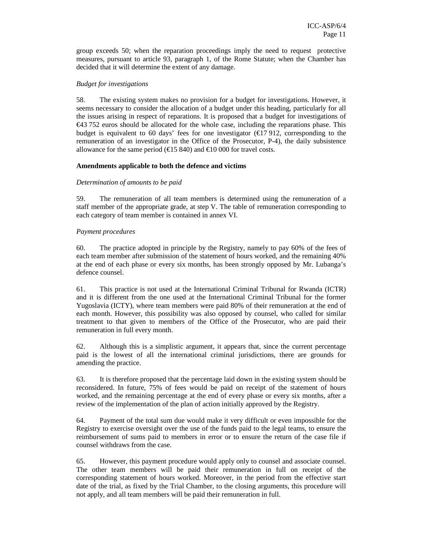group exceeds 50; when the reparation proceedings imply the need to request protective measures, pursuant to article 93, paragraph 1, of the Rome Statute; when the Chamber has decided that it will determine the extent of any damage.

#### *Budget for investigations*

58. The existing system makes no provision for a budget for investigations. However, it seems necessary to consider the allocation of a budget under this heading, particularly for all the issues arising in respect of reparations. It is proposed that a budget for investigations of  $\epsilon$ 43 752 euros should be allocated for the whole case, including the reparations phase. This budget is equivalent to 60 days' fees for one investigator  $(\text{\textsterling}17912,$  corresponding to the remuneration of an investigator in the Office of the Prosecutor, P-4), the daily subsistence allowance for the same period ( $\epsilon$ 15 840) and  $\epsilon$ 10 000 for travel costs.

### **Amendments applicable to both the defence and victims**

### *Determination of amounts to be paid*

59. The remuneration of all team members is determined using the remuneration of a staff member of the appropriate grade, at step V. The table of remuneration corresponding to each category of team member is contained in annex VI.

### *Payment procedures*

60. The practice adopted in principle by the Registry, namely to pay 60% of the fees of each team member after submission of the statement of hours worked, and the remaining 40% at the end of each phase or every six months, has been strongly opposed by Mr. Lubanga's defence counsel.

61. This practice is not used at the International Criminal Tribunal for Rwanda (ICTR) and it is different from the one used at the International Criminal Tribunal for the former Yugoslavia (ICTY), where team members were paid 80% of their remuneration at the end of each month. However, this possibility was also opposed by counsel, who called for similar treatment to that given to members of the Office of the Prosecutor, who are paid their remuneration in full every month.

62. Although this is a simplistic argument, it appears that, since the current percentage paid is the lowest of all the international criminal jurisdictions, there are grounds for amending the practice.

63. It is therefore proposed that the percentage laid down in the existing system should be reconsidered. In future, 75% of fees would be paid on receipt of the statement of hours worked, and the remaining percentage at the end of every phase or every six months, after a review of the implementation of the plan of action initially approved by the Registry.

64. Payment of the total sum due would make it very difficult or even impossible for the Registry to exercise oversight over the use of the funds paid to the legal teams, to ensure the reimbursement of sums paid to members in error or to ensure the return of the case file if counsel withdraws from the case.

65. However, this payment procedure would apply only to counsel and associate counsel. The other team members will be paid their remuneration in full on receipt of the corresponding statement of hours worked. Moreover, in the period from the effective start date of the trial, as fixed by the Trial Chamber, to the closing arguments, this procedure will not apply, and all team members will be paid their remuneration in full.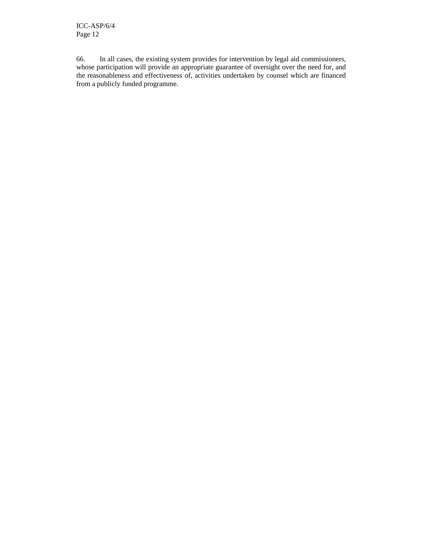66. In all cases, the existing system provides for intervention by legal aid commissioners, whose participation will provide an appropriate guarantee of oversight over the need for, and the reasonableness and effectiveness of, activities undertaken by counsel which are financed from a publicly funded programme.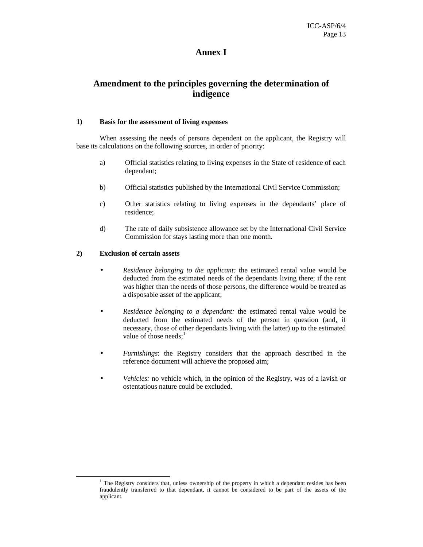## **Annex I**

## **Amendment to the principles governing the determination of indigence**

### **1) Basis for the assessment of living expenses**

When assessing the needs of persons dependent on the applicant, the Registry will base its calculations on the following sources, in order of priority:

- a) Official statistics relating to living expenses in the State of residence of each dependant;
- b) Official statistics published by the International Civil Service Commission;
- c) Other statistics relating to living expenses in the dependants' place of residence;
- d) The rate of daily subsistence allowance set by the International Civil Service Commission for stays lasting more than one month.

### **2) Exclusion of certain assets**

- *Residence belonging to the applicant:* the estimated rental value would be deducted from the estimated needs of the dependants living there; if the rent was higher than the needs of those persons, the difference would be treated as a disposable asset of the applicant;
- *Residence belonging to a dependant:* the estimated rental value would be deducted from the estimated needs of the person in question (and, if necessary, those of other dependants living with the latter) up to the estimated value of those needs; $<sup>1</sup>$ </sup>
- *Furnishings*: the Registry considers that the approach described in the reference document will achieve the proposed aim;
- *Vehicles:* no vehicle which, in the opinion of the Registry, was of a lavish or ostentatious nature could be excluded.

<sup>&</sup>lt;sup>1</sup> The Registry considers that, unless ownership of the property in which a dependant resides has been fraudulently transferred to that dependant, it cannot be considered to be part of the assets of the applicant.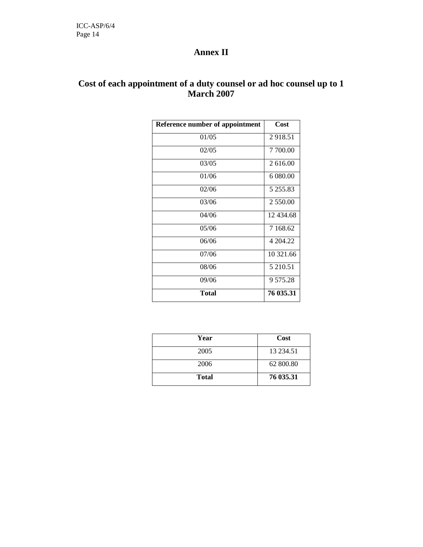# **Annex II**

# **Cost of each appointment of a duty counsel or ad hoc counsel up to 1 March 2007**

| <b>Reference number of appointment</b> | Cost      |
|----------------------------------------|-----------|
| 01/05                                  | 2918.51   |
| 02/05                                  | 7 700.00  |
| 03/05                                  | 2616.00   |
| 01/06                                  | 6.080.00  |
| 02/06                                  | 5 255.83  |
| 03/06                                  | 2 550.00  |
| 04/06                                  | 12 434.68 |
| 05/06                                  | 7 168.62  |
| 06/06                                  | 4 204.22  |
| 07/06                                  | 10 321.66 |
| 08/06                                  | 5 210.51  |
| 09/06                                  | 9 575.28  |
| Total                                  | 76 035.31 |

| Year         | Cost         |
|--------------|--------------|
| 2005         | 13 2 3 4 .51 |
| 2006         | 62 800.80    |
| <b>Total</b> | 76 035.31    |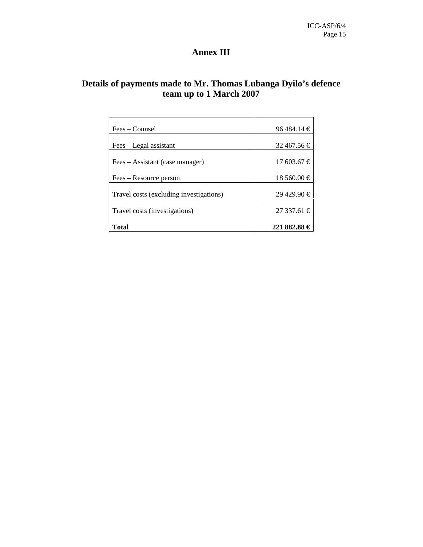# **Annex III**

# **Details of payments made to Mr. Thomas Lubanga Dyilo's defence team up to 1 March 2007**

| Fees – Counsel                          | $96484.14 \in$   |
|-----------------------------------------|------------------|
|                                         |                  |
| Fees – Legal assistant                  | 32 467.56 €      |
|                                         |                  |
| Fees – Assistant (case manager)         | $17603.67 \in$   |
|                                         |                  |
| Fees – Resource person                  | $18,560.00 \in$  |
|                                         |                  |
| Travel costs (excluding investigations) | $29\,429.90 \in$ |
|                                         |                  |
| Travel costs (investigations)           | $27337.61 \in$   |
|                                         |                  |
| Total                                   | 221 882.88 €     |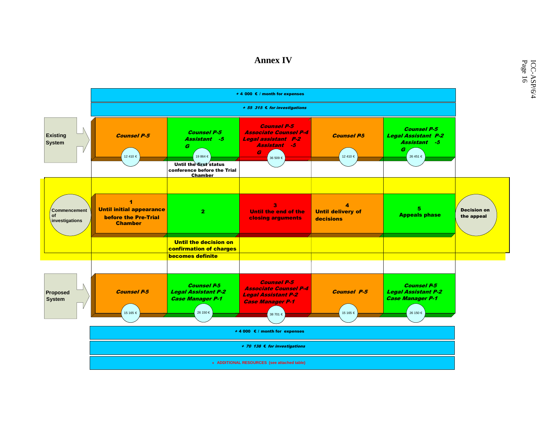## **Annex IV**

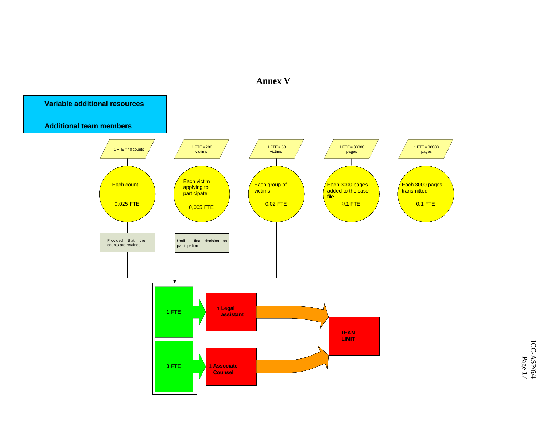

**Annex V**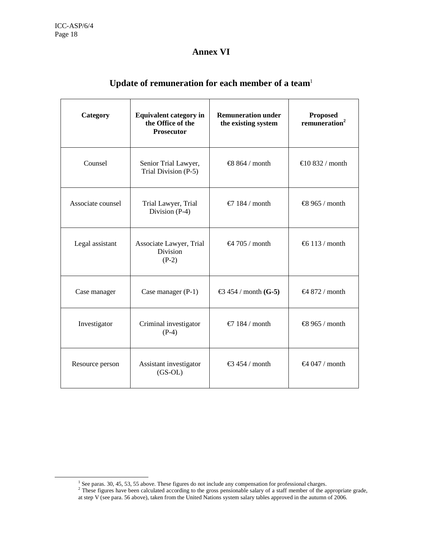-

# **Annex VI**

| Category                                               | <b>Equivalent category in</b><br>the Office of the<br><b>Prosecutor</b> | <b>Remuneration under</b><br>the existing system  | <b>Proposed</b><br>remuneration <sup>2</sup> |
|--------------------------------------------------------|-------------------------------------------------------------------------|---------------------------------------------------|----------------------------------------------|
| Counsel                                                | Senior Trial Lawyer,<br>Trial Division (P-5)                            | €8 864 / month                                    | €10 832 / month                              |
| Associate counsel                                      | Trial Lawyer, Trial<br>Division (P-4)                                   | €7 184 / month                                    | €8 965 / month                               |
| Legal assistant                                        | Associate Lawyer, Trial<br><b>Division</b><br>$(P-2)$                   | €4 705 / month                                    | €6.113 / month                               |
| Case manager                                           | Case manager $(P-1)$                                                    | $\text{\textsterling}3$ 454 / month( <b>G-5</b> ) | €4 872 / month                               |
| Criminal investigator<br>Investigator<br>$(P-4)$       |                                                                         | €7 184 / month                                    | €8 965 / month                               |
| Assistant investigator<br>Resource person<br>$(GS-OL)$ |                                                                         | €3 454 / month                                    | €4 047 / month                               |

# **Update of remuneration for each member of a team**<sup>1</sup>

<sup>&</sup>lt;sup>1</sup> See paras. 30, 45, 53, 55 above. These figures do not include any compensation for professional charges.<br><sup>2</sup> These figures have been calculated according to the gross pensionable salary of a staff member of the approp

at step V (see para. 56 above), taken from the United Nations system salary tables approved in the autumn of 2006.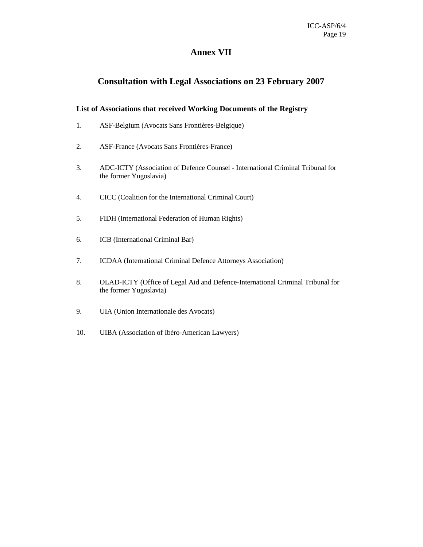## **Annex VII**

# **Consultation with Legal Associations on 23 February 2007**

### **List of Associations that received Working Documents of the Registry**

- 1. ASF-Belgium (Avocats Sans Frontières-Belgique)
- 2. ASF-France (Avocats Sans Frontières-France)
- 3. ADC-ICTY (Association of Defence Counsel International Criminal Tribunal for the former Yugoslavia)
- 4. CICC (Coalition for the International Criminal Court)
- 5. FIDH (International Federation of Human Rights)
- 6. ICB (International Criminal Bar)
- 7. ICDAA (International Criminal Defence Attorneys Association)
- 8. OLAD-ICTY (Office of Legal Aid and Defence-International Criminal Tribunal for the former Yugoslavia)
- 9. UIA (Union Internationale des Avocats)
- 10. UIBA (Association of Ibéro-American Lawyers)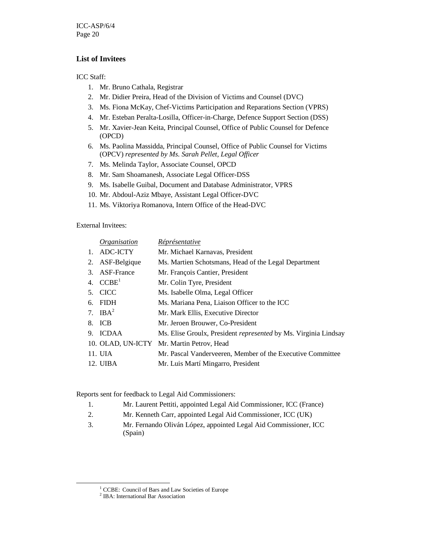ICC-ASP/6/4 Page 20

### **List of Invitees**

ICC Staff:

- 1. Mr. Bruno Cathala, Registrar
- 2. Mr. Didier Preira, Head of the Division of Victims and Counsel (DVC)
- 3. Ms. Fiona McKay, Chef-Victims Participation and Reparations Section (VPRS)
- 4. Mr. Esteban Peralta-Losilla, Officer-in-Charge, Defence Support Section (DSS)
- 5. Mr. Xavier-Jean Keita, Principal Counsel, Office of Public Counsel for Defence (OPCD)
- 6. Ms. Paolina Massidda, Principal Counsel, Office of Public Counsel for Victims (OPCV) *represented by Ms. Sarah Pellet, Legal Officer*
- 7. Ms. Melinda Taylor, Associate Counsel, OPCD
- 8. Mr. Sam Shoamanesh, Associate Legal Officer-DSS
- 9. Ms. Isabelle Guibal, Document and Database Administrator, VPRS
- 10. Mr. Abdoul-Aziz Mbaye, Assistant Legal Officer-DVC
- 11. Ms. Viktoriya Romanova, Intern Office of the Head-DVC

External Invitees:

|    | <i><u><b>Organisation</b></u></i> | <i>Réprésentative</i>                                           |
|----|-----------------------------------|-----------------------------------------------------------------|
| 1. | ADC-ICTY                          | Mr. Michael Karnavas, President                                 |
| 2. | ASF-Belgique                      | Ms. Martien Schotsmans, Head of the Legal Department            |
| 3. | <b>ASF-France</b>                 | Mr. François Cantier, President                                 |
|    | 4. $CCBE1$                        | Mr. Colin Tyre, President                                       |
| 5. | <b>CICC</b>                       | Ms. Isabelle Olma, Legal Officer                                |
| б. | <b>FIDH</b>                       | Ms. Mariana Pena, Liaison Officer to the ICC                    |
|    | 7. IB $A^2$                       | Mr. Mark Ellis, Executive Director                              |
| 8. | ICB                               | Mr. Jeroen Brouwer, Co-President                                |
| 9. | <b>ICDAA</b>                      | Ms. Elise Groulx, President represented by Ms. Virginia Lindsay |
|    |                                   | 10. OLAD, UN-ICTY Mr. Martin Petrov, Head                       |
|    | 11. UIA                           | Mr. Pascal Vanderveeren, Member of the Executive Committee      |
|    | 12. UIBA                          | Mr. Luis Martí Mingarro, President                              |

Reports sent for feedback to Legal Aid Commissioners:

- 1. Mr. Laurent Pettiti, appointed Legal Aid Commissioner, ICC (France)
- 2. Mr. Kenneth Carr, appointed Legal Aid Commissioner, ICC (UK)
- 3. Mr. Fernando Oliván López, appointed Legal Aid Commissioner, ICC (Spain)

<sup>&</sup>lt;sup>1</sup> CCBE: Council of Bars and Law Societies of Europe

<sup>2</sup> IBA: International Bar Association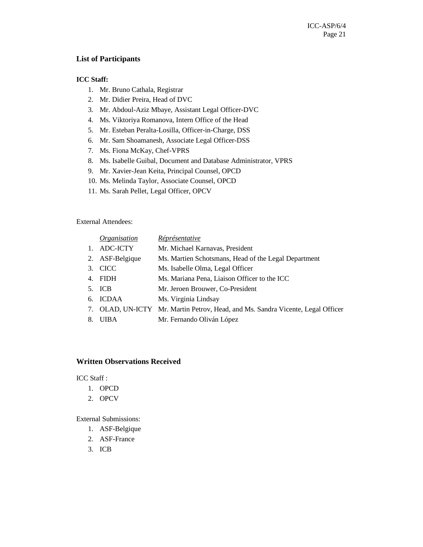### **List of Participants**

### **ICC Staff:**

- 1. Mr. Bruno Cathala, Registrar
- 2. Mr. Didier Preira, Head of DVC
- 3. Mr. Abdoul-Aziz Mbaye, Assistant Legal Officer-DVC
- 4. Ms. Viktoriya Romanova, Intern Office of the Head
- 5. Mr. Esteban Peralta-Losilla, Officer-in-Charge, DSS
- 6. Mr. Sam Shoamanesh, Associate Legal Officer-DSS
- 7. Ms. Fiona McKay, Chef-VPRS
- 8. Ms. Isabelle Guibal, Document and Database Administrator, VPRS
- 9. Mr. Xavier-Jean Keita, Principal Counsel, OPCD
- 10. Ms. Melinda Taylor, Associate Counsel, OPCD
- 11. Ms. Sarah Pellet, Legal Officer, OPCV

### External Attendees:

|    | Organisation    | Réprésentative                                                                  |
|----|-----------------|---------------------------------------------------------------------------------|
|    | ADC-ICTY        | Mr. Michael Karnavas, President                                                 |
|    | 2. ASF-Belgique | Ms. Martien Schotsmans, Head of the Legal Department                            |
|    | 3. CICC         | Ms. Isabelle Olma, Legal Officer                                                |
| 4. | <b>FIDH</b>     | Ms. Mariana Pena, Liaison Officer to the ICC                                    |
|    | 5. ICB          | Mr. Jeroen Brouwer, Co-President                                                |
|    | 6. ICDAA        | Ms. Virginia Lindsay                                                            |
|    |                 | 7. OLAD, UN-ICTY Mr. Martin Petrov, Head, and Ms. Sandra Vicente, Legal Officer |
| 8. | <b>UIBA</b>     | Mr. Fernando Oliván López                                                       |
|    |                 |                                                                                 |

### **Written Observations Received**

ICC Staff :

- 1. OPCD
- 2. OPCV

External Submissions:

- 1. ASF-Belgique
- 2. ASF-France
- 3. ICB